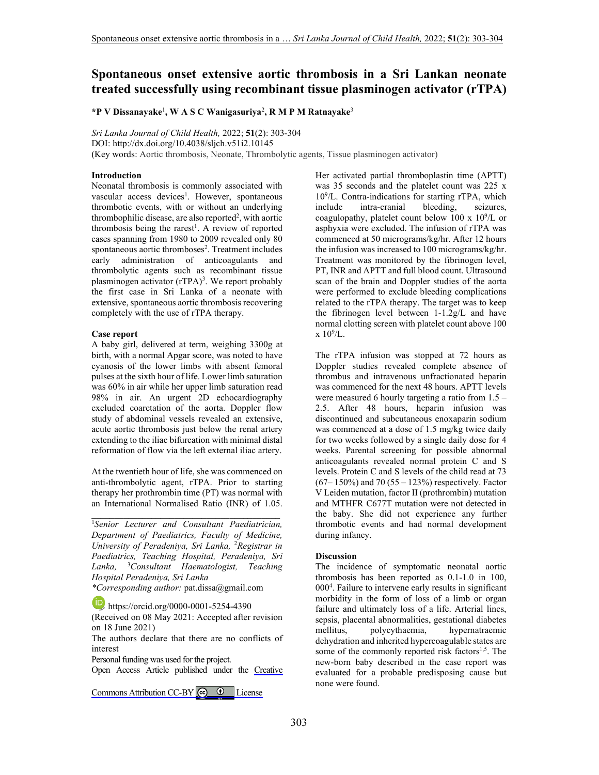# **Spontaneous onset extensive aortic thrombosis in a Sri Lankan neonate treated successfully using recombinant tissue plasminogen activator (rTPA)**

**\*P V Dissanayake**<sup>1</sup> **, W A S C Wanigasuriya**<sup>2</sup> **, R M P M Ratnayake**<sup>3</sup>

*Sri Lanka Journal of Child Health,* 2022; **51**(2): 303-304 DOI: http://dx.doi.org/10.4038/sljch.v51i2.10145 (Key words: Aortic thrombosis, Neonate, Thrombolytic agents, Tissue plasminogen activator)

### **Introduction**

Neonatal thrombosis is commonly associated with vascular access devices<sup>1</sup>. However, spontaneous thrombotic events, with or without an underlying thrombophilic disease, are also reported<sup>2</sup>, with aortic thrombosis being the rarest<sup>1</sup>. A review of reported cases spanning from 1980 to 2009 revealed only 80 spontaneous aortic thromboses<sup>2</sup>. Treatment includes early administration of anticoagulants and thrombolytic agents such as recombinant tissue plasminogen activator (rTPA)<sup>3</sup>. We report probably the first case in Sri Lanka of a neonate with extensive, spontaneous aortic thrombosis recovering completely with the use of rTPA therapy.

#### **Case report**

A baby girl, delivered at term, weighing 3300g at birth, with a normal Apgar score, was noted to have cyanosis of the lower limbs with absent femoral pulses at the sixth hour of life. Lower limb saturation was 60% in air while her upper limb saturation read 98% in air. An urgent 2D echocardiography excluded coarctation of the aorta. Doppler flow study of abdominal vessels revealed an extensive, acute aortic thrombosis just below the renal artery extending to the iliac bifurcation with minimal distal reformation of flow via the left external iliac artery.

At the twentieth hour of life, she was commenced on anti-thrombolytic agent, rTPA. Prior to starting therapy her prothrombin time (PT) was normal with an International Normalised Ratio (INR) of 1.05.

\_\_\_\_\_\_\_\_\_\_\_\_\_\_\_\_\_\_\_\_\_\_\_\_\_\_\_\_\_\_\_\_\_\_\_\_\_\_\_\_\_

<sup>1</sup>*Senior Lecturer and Consultant Paediatrician, Department of Paediatrics, Faculty of Medicine, University of Peradeniya, Sri Lanka,* <sup>2</sup>*Registrar in Paediatrics, Teaching Hospital, Peradeniya, Sri Lanka,* <sup>3</sup>*Consultant Haematologist, Teaching Hospital Peradeniya, Sri Lanka*

*\*Corresponding author:* pat.dissa@gmail.com

https://orcid.org/0000-0001-5254-4390 (Received on 08 May 2021: Accepted after revision on 18 June 2021)

The authors declare that there are no conflicts of interest

Personal funding was used for the project.

Open Access Article published under the [Creative](https://creativecommons.org/licenses/by/4.0/)

Commons Attribution CC-BY  $\bigcirc$   $\bullet$  License

Her activated partial thromboplastin time (APTT) was 35 seconds and the platelet count was 225 x 10<sup>9</sup> /L. Contra-indications for starting rTPA, which include intra-cranial bleeding, seizures, coagulopathy, platelet count below  $100 \times 10^9$ /L or asphyxia were excluded. The infusion of rTPA was commenced at 50 micrograms/kg/hr. After 12 hours the infusion was increased to 100 micrograms/kg/hr. Treatment was monitored by the fibrinogen level, PT, INR and APTT and full blood count. Ultrasound scan of the brain and Doppler studies of the aorta were performed to exclude bleeding complications related to the rTPA therapy. The target was to keep the fibrinogen level between 1-1.2g/L and have normal clotting screen with platelet count above 100  $x 10^9/L$ .

The rTPA infusion was stopped at 72 hours as Doppler studies revealed complete absence of thrombus and intravenous unfractionated heparin was commenced for the next 48 hours. APTT levels were measured 6 hourly targeting a ratio from  $1.5 -$ 2.5. After 48 hours, heparin infusion was discontinued and subcutaneous enoxaparin sodium was commenced at a dose of 1.5 mg/kg twice daily for two weeks followed by a single daily dose for 4 weeks. Parental screening for possible abnormal anticoagulants revealed normal protein C and S levels. Protein C and S levels of the child read at 73  $(67 - 150\%)$  and 70  $(55 - 123\%)$  respectively. Factor V Leiden mutation, factor II (prothrombin) mutation and MTHFR C677T mutation were not detected in the baby. She did not experience any further thrombotic events and had normal development during infancy.

#### **Discussion**

The incidence of symptomatic neonatal aortic thrombosis has been reported as 0.1-1.0 in 100, 000<sup>4</sup> . Failure to intervene early results in significant morbidity in the form of loss of a limb or organ failure and ultimately loss of a life. Arterial lines, sepsis, placental abnormalities, gestational diabetes mellitus, polycythaemia, hypernatraemic dehydration and inherited hypercoagulable states are some of the commonly reported risk factors<sup>1,5</sup>. The new-born baby described in the case report was evaluated for a probable predisposing cause but none were found.